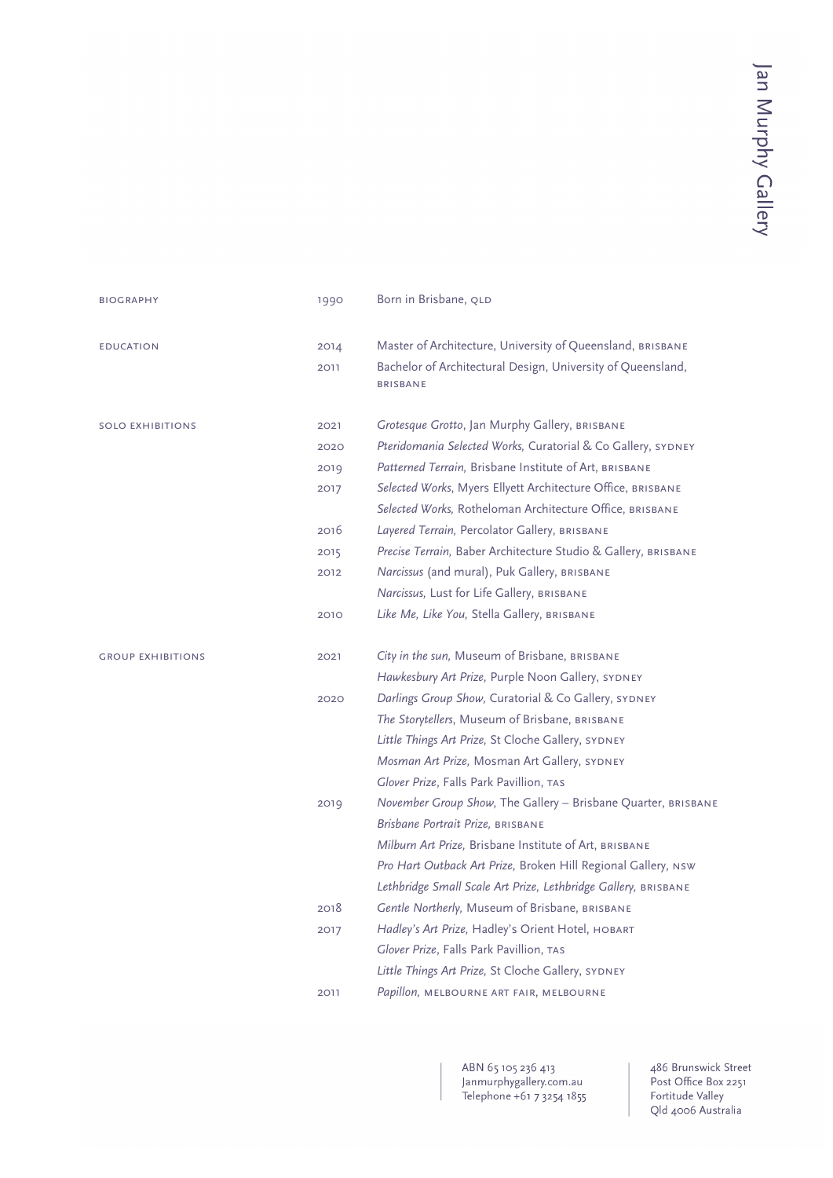| <b>BIOGRAPHY</b>         | 1990 | Born in Brisbane, QLD                                                                                                   |
|--------------------------|------|-------------------------------------------------------------------------------------------------------------------------|
| <b>EDUCATION</b>         | 2014 | Master of Architecture, University of Queensland, BRISBANE                                                              |
|                          | 2011 | Bachelor of Architectural Design, University of Queensland,<br><b>BRISBANE</b>                                          |
| <b>SOLO EXHIBITIONS</b>  | 2021 | Grotesque Grotto, Jan Murphy Gallery, BRISBANE                                                                          |
|                          | 2020 | Pteridomania Selected Works, Curatorial & Co Gallery, SYDNEY                                                            |
|                          | 2019 | Patterned Terrain, Brisbane Institute of Art, BRISBANE                                                                  |
|                          | 2017 | Selected Works, Myers Ellyett Architecture Office, BRISBANE<br>Selected Works, Rotheloman Architecture Office, BRISBANE |
|                          | 2016 | Layered Terrain, Percolator Gallery, BRISBANE                                                                           |
|                          | 2015 | Precise Terrain, Baber Architecture Studio & Gallery, BRISBANE                                                          |
|                          | 2012 | Narcissus (and mural), Puk Gallery, BRISBANE                                                                            |
|                          |      | Narcissus, Lust for Life Gallery, BRISBANE                                                                              |
|                          | 2010 | Like Me, Like You, Stella Gallery, BRISBANE                                                                             |
| <b>GROUP EXHIBITIONS</b> | 2021 | City in the sun, Museum of Brisbane, BRISBANE                                                                           |
|                          |      | Hawkesbury Art Prize, Purple Noon Gallery, SYDNEY                                                                       |
|                          | 2020 | Darlings Group Show, Curatorial & Co Gallery, SYDNEY                                                                    |
|                          |      | The Storytellers, Museum of Brisbane, BRISBANE                                                                          |
|                          |      | Little Things Art Prize, St Cloche Gallery, SYDNEY                                                                      |
|                          |      | Mosman Art Prize, Mosman Art Gallery, SYDNEY                                                                            |
|                          |      | Glover Prize, Falls Park Pavillion, TAS                                                                                 |
|                          | 2019 | November Group Show, The Gallery - Brisbane Quarter, BRISBANE                                                           |
|                          |      | Brisbane Portrait Prize, BRISBANE                                                                                       |
|                          |      | Milburn Art Prize, Brisbane Institute of Art, BRISBANE                                                                  |
|                          |      | Pro Hart Outback Art Prize, Broken Hill Regional Gallery, NSW                                                           |
|                          |      | Lethbridge Small Scale Art Prize, Lethbridge Gallery, BRISBANE                                                          |
|                          | 2018 | Gentle Northerly, Museum of Brisbane, BRISBANE                                                                          |
|                          | 2017 | Hadley's Art Prize, Hadley's Orient Hotel, HOBART                                                                       |
|                          |      | Glover Prize, Falls Park Pavillion, TAS                                                                                 |
|                          |      | Little Things Art Prize, St Cloche Gallery, SYDNEY                                                                      |
|                          | 2011 | Papillon, MELBOURNE ART FAIR, MELBOURNE                                                                                 |

ABN 65 105 236 413<br>Janmurphygallery.com.au<br>Telephone +61 7 3254 1855

486 Brunswick Street Post Office Box 2251 Fost Office Box 225<br>Fortitude Valley<br>Qld 4006 Australia